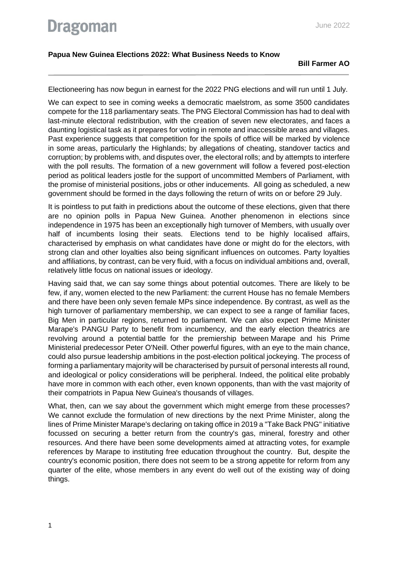## **Papua New Guinea Elections 2022: What Business Needs to Know**

Electioneering has now begun in earnest for the 2022 PNG elections and will run until 1 July.

We can expect to see in coming weeks a democratic maelstrom, as some 3500 candidates compete for the 118 parliamentary seats. The PNG Electoral Commission has had to deal with last-minute electoral redistribution, with the creation of seven new electorates, and faces a daunting logistical task as it prepares for voting in remote and inaccessible areas and villages. Past experience suggests that competition for the spoils of office will be marked by violence in some areas, particularly the Highlands; by allegations of cheating, standover tactics and corruption; by problems with, and disputes over, the electoral rolls; and by attempts to interfere with the poll results. The formation of a new government will follow a fevered post-election period as political leaders jostle for the support of uncommitted Members of Parliament, with the promise of ministerial positions, jobs or other inducements. All going as scheduled, a new government should be formed in the days following the return of writs on or before 29 July.

It is pointless to put faith in predictions about the outcome of these elections, given that there are no opinion polls in Papua New Guinea. Another phenomenon in elections since independence in 1975 has been an exceptionally high turnover of Members, with usually over half of incumbents losing their seats. Elections tend to be highly localised affairs, characterised by emphasis on what candidates have done or might do for the electors, with strong clan and other loyalties also being significant influences on outcomes. Party loyalties and affiliations, by contrast, can be very fluid, with a focus on individual ambitions and, overall, relatively little focus on national issues or ideology.

Having said that, we can say some things about potential outcomes. There are likely to be few, if any, women elected to the new Parliament: the current House has no female Members and there have been only seven female MPs since independence. By contrast, as well as the high turnover of parliamentary membership, we can expect to see a range of familiar faces, Big Men in particular regions, returned to parliament. We can also expect Prime Minister Marape's PANGU Party to benefit from incumbency, and the early election theatrics are revolving around a potential battle for the premiership between Marape and his Prime Ministerial predecessor Peter O'Neill. Other powerful figures, with an eye to the main chance, could also pursue leadership ambitions in the post-election political jockeying. The process of forming a parliamentary majority will be characterised by pursuit of personal interests all round, and ideological or policy considerations will be peripheral. Indeed, the political elite probably have more in common with each other, even known opponents, than with the vast majority of their compatriots in Papua New Guinea's thousands of villages.

What, then, can we say about the government which might emerge from these processes? We cannot exclude the formulation of new directions by the next Prime Minister, along the lines of Prime Minister Marape's declaring on taking office in 2019 a "Take Back PNG" initiative focussed on securing a better return from the country's gas, mineral, forestry and other resources. And there have been some developments aimed at attracting votes, for example references by Marape to instituting free education throughout the country. But, despite the country's economic position, there does not seem to be a strong appetite for reform from any quarter of the elite, whose members in any event do well out of the existing way of doing things.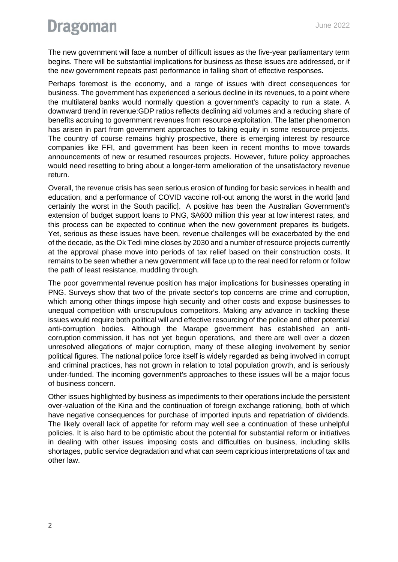## **Dragoman**

The new government will face a number of difficult issues as the five-year parliamentary term begins. There will be substantial implications for business as these issues are addressed, or if the new government repeats past performance in falling short of effective responses.

Perhaps foremost is the economy, and a range of issues with direct consequences for business. The government has experienced a serious decline in its revenues, to a point where the multilateral banks would normally question a government's capacity to run a state. A downward trend in revenue:GDP ratios reflects declining aid volumes and a reducing share of benefits accruing to government revenues from resource exploitation. The latter phenomenon has arisen in part from government approaches to taking equity in some resource projects. The country of course remains highly prospective, there is emerging interest by resource companies like FFI, and government has been keen in recent months to move towards announcements of new or resumed resources projects. However, future policy approaches would need resetting to bring about a longer-term amelioration of the unsatisfactory revenue return.

Overall, the revenue crisis has seen serious erosion of funding for basic services in health and education, and a performance of COVID vaccine roll-out among the worst in the world [and certainly the worst in the South pacific]. A positive has been the Australian Government's extension of budget support loans to PNG, \$A600 million this year at low interest rates, and this process can be expected to continue when the new government prepares its budgets. Yet, serious as these issues have been, revenue challenges will be exacerbated by the end of the decade, as the Ok Tedi mine closes by 2030 and a number of resource projects currently at the approval phase move into periods of tax relief based on their construction costs. It remains to be seen whether a new government will face up to the real need for reform or follow the path of least resistance, muddling through.

The poor governmental revenue position has major implications for businesses operating in PNG. Surveys show that two of the private sector's top concerns are crime and corruption, which among other things impose high security and other costs and expose businesses to unequal competition with unscrupulous competitors. Making any advance in tackling these issues would require both political will and effective resourcing of the police and other potential anti-corruption bodies. Although the Marape government has established an anticorruption commission, it has not yet begun operations, and there are well over a dozen unresolved allegations of major corruption, many of these alleging involvement by senior political figures. The national police force itself is widely regarded as being involved in corrupt and criminal practices, has not grown in relation to total population growth, and is seriously under-funded. The incoming government's approaches to these issues will be a major focus of business concern.

Other issues highlighted by business as impediments to their operations include the persistent over-valuation of the Kina and the continuation of foreign exchange rationing, both of which have negative consequences for purchase of imported inputs and repatriation of dividends. The likely overall lack of appetite for reform may well see a continuation of these unhelpful policies. It is also hard to be optimistic about the potential for substantial reform or initiatives in dealing with other issues imposing costs and difficulties on business, including skills shortages, public service degradation and what can seem capricious interpretations of tax and other law.